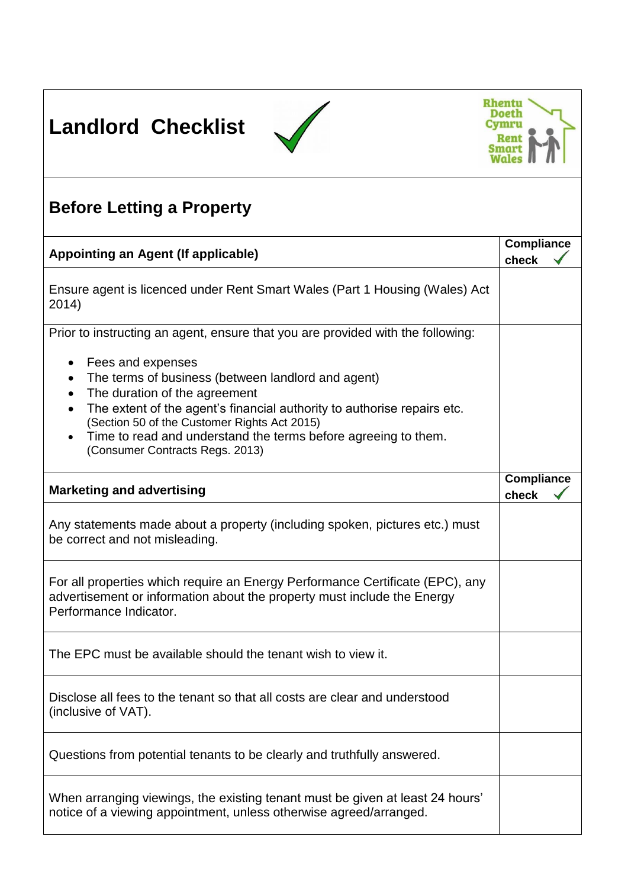





## **Before Letting a Property**

| Appointing an Agent (If applicable)                                                                                                                                                | <b>Compliance</b><br>check |
|------------------------------------------------------------------------------------------------------------------------------------------------------------------------------------|----------------------------|
| Ensure agent is licenced under Rent Smart Wales (Part 1 Housing (Wales) Act<br>2014)                                                                                               |                            |
| Prior to instructing an agent, ensure that you are provided with the following:                                                                                                    |                            |
| Fees and expenses<br>٠<br>The terms of business (between landlord and agent)<br>The duration of the agreement                                                                      |                            |
| The extent of the agent's financial authority to authorise repairs etc.<br>(Section 50 of the Customer Rights Act 2015)                                                            |                            |
| Time to read and understand the terms before agreeing to them.<br>(Consumer Contracts Regs. 2013)                                                                                  |                            |
| <b>Marketing and advertising</b>                                                                                                                                                   | <b>Compliance</b><br>check |
| Any statements made about a property (including spoken, pictures etc.) must<br>be correct and not misleading.                                                                      |                            |
| For all properties which require an Energy Performance Certificate (EPC), any<br>advertisement or information about the property must include the Energy<br>Performance Indicator. |                            |
| The EPC must be available should the tenant wish to view it.                                                                                                                       |                            |
| Disclose all fees to the tenant so that all costs are clear and understood<br>(inclusive of VAT).                                                                                  |                            |
| Questions from potential tenants to be clearly and truthfully answered.                                                                                                            |                            |
| When arranging viewings, the existing tenant must be given at least 24 hours'<br>notice of a viewing appointment, unless otherwise agreed/arranged.                                |                            |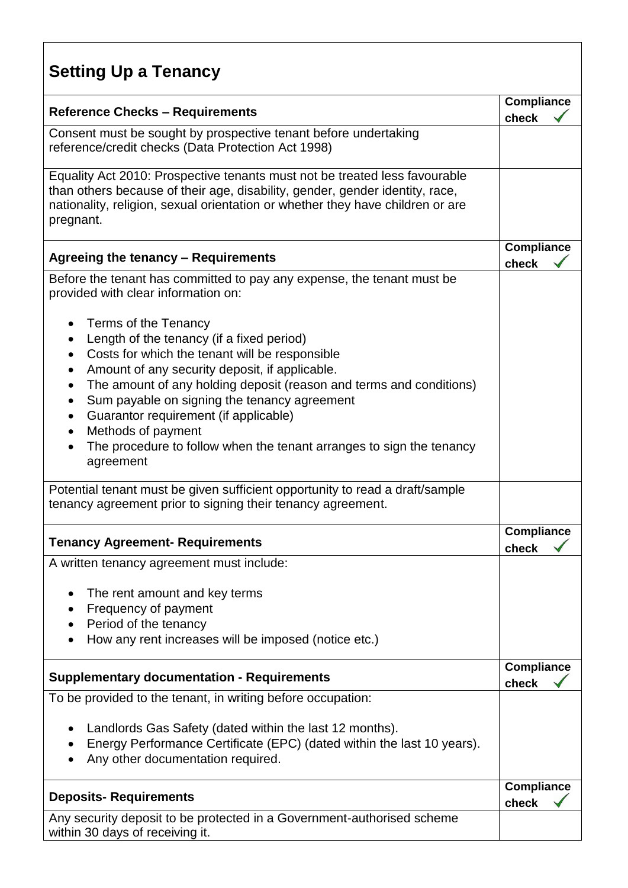## **Setting Up a Tenancy**

| <b>Reference Checks - Requirements</b>                                                                                                                                                                                                                                                                                                                                                                                                                          | <b>Compliance</b>          |  |
|-----------------------------------------------------------------------------------------------------------------------------------------------------------------------------------------------------------------------------------------------------------------------------------------------------------------------------------------------------------------------------------------------------------------------------------------------------------------|----------------------------|--|
| Consent must be sought by prospective tenant before undertaking<br>reference/credit checks (Data Protection Act 1998)                                                                                                                                                                                                                                                                                                                                           | check                      |  |
| Equality Act 2010: Prospective tenants must not be treated less favourable<br>than others because of their age, disability, gender, gender identity, race,<br>nationality, religion, sexual orientation or whether they have children or are<br>pregnant.                                                                                                                                                                                                       |                            |  |
| Agreeing the tenancy - Requirements                                                                                                                                                                                                                                                                                                                                                                                                                             | <b>Compliance</b><br>check |  |
| Before the tenant has committed to pay any expense, the tenant must be<br>provided with clear information on:                                                                                                                                                                                                                                                                                                                                                   |                            |  |
| Terms of the Tenancy<br>Length of the tenancy (if a fixed period)<br>Costs for which the tenant will be responsible<br>٠<br>Amount of any security deposit, if applicable.<br>The amount of any holding deposit (reason and terms and conditions)<br>٠<br>Sum payable on signing the tenancy agreement<br>Guarantor requirement (if applicable)<br>٠<br>Methods of payment<br>The procedure to follow when the tenant arranges to sign the tenancy<br>agreement |                            |  |
| Potential tenant must be given sufficient opportunity to read a draft/sample<br>tenancy agreement prior to signing their tenancy agreement.                                                                                                                                                                                                                                                                                                                     |                            |  |
| <b>Tenancy Agreement- Requirements</b>                                                                                                                                                                                                                                                                                                                                                                                                                          | <b>Compliance</b><br>check |  |
| A written tenancy agreement must include:                                                                                                                                                                                                                                                                                                                                                                                                                       |                            |  |
| The rent amount and key terms<br>Frequency of payment<br>Period of the tenancy<br>How any rent increases will be imposed (notice etc.)                                                                                                                                                                                                                                                                                                                          |                            |  |
| <b>Supplementary documentation - Requirements</b>                                                                                                                                                                                                                                                                                                                                                                                                               | <b>Compliance</b><br>check |  |
| To be provided to the tenant, in writing before occupation:                                                                                                                                                                                                                                                                                                                                                                                                     |                            |  |
| Landlords Gas Safety (dated within the last 12 months).<br>Energy Performance Certificate (EPC) (dated within the last 10 years).<br>Any other documentation required.                                                                                                                                                                                                                                                                                          |                            |  |
| <b>Deposits-Requirements</b>                                                                                                                                                                                                                                                                                                                                                                                                                                    | <b>Compliance</b><br>check |  |
| Any security deposit to be protected in a Government-authorised scheme<br>within 30 days of receiving it.                                                                                                                                                                                                                                                                                                                                                       |                            |  |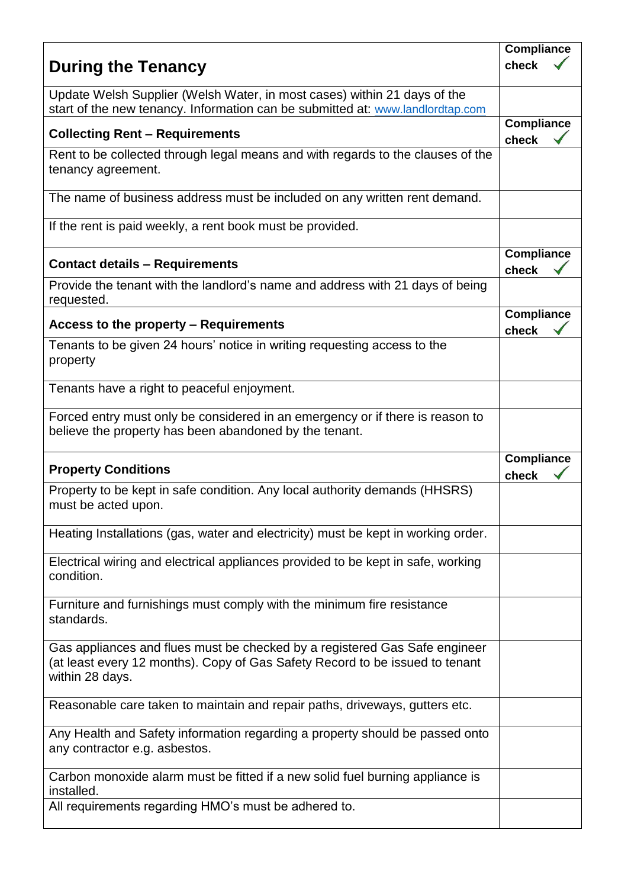|                                                                                                                                                                               | <b>Compliance</b>          |  |
|-------------------------------------------------------------------------------------------------------------------------------------------------------------------------------|----------------------------|--|
| <b>During the Tenancy</b>                                                                                                                                                     | check                      |  |
| Update Welsh Supplier (Welsh Water, in most cases) within 21 days of the<br>start of the new tenancy. Information can be submitted at: www.landlordtap.com                    |                            |  |
| <b>Collecting Rent - Requirements</b>                                                                                                                                         | <b>Compliance</b><br>check |  |
| Rent to be collected through legal means and with regards to the clauses of the<br>tenancy agreement.                                                                         |                            |  |
| The name of business address must be included on any written rent demand.                                                                                                     |                            |  |
| If the rent is paid weekly, a rent book must be provided.                                                                                                                     |                            |  |
| <b>Contact details - Requirements</b>                                                                                                                                         | <b>Compliance</b><br>check |  |
| Provide the tenant with the landlord's name and address with 21 days of being<br>requested.                                                                                   |                            |  |
| Access to the property - Requirements                                                                                                                                         | <b>Compliance</b><br>check |  |
| Tenants to be given 24 hours' notice in writing requesting access to the<br>property                                                                                          |                            |  |
| Tenants have a right to peaceful enjoyment.                                                                                                                                   |                            |  |
| Forced entry must only be considered in an emergency or if there is reason to<br>believe the property has been abandoned by the tenant.                                       |                            |  |
| <b>Property Conditions</b>                                                                                                                                                    | <b>Compliance</b><br>check |  |
| Property to be kept in safe condition. Any local authority demands (HHSRS)<br>must be acted upon.                                                                             |                            |  |
| Heating Installations (gas, water and electricity) must be kept in working order.                                                                                             |                            |  |
| Electrical wiring and electrical appliances provided to be kept in safe, working<br>condition.                                                                                |                            |  |
| Furniture and furnishings must comply with the minimum fire resistance<br>standards.                                                                                          |                            |  |
| Gas appliances and flues must be checked by a registered Gas Safe engineer<br>(at least every 12 months). Copy of Gas Safety Record to be issued to tenant<br>within 28 days. |                            |  |
| Reasonable care taken to maintain and repair paths, driveways, gutters etc.                                                                                                   |                            |  |
| Any Health and Safety information regarding a property should be passed onto<br>any contractor e.g. asbestos.                                                                 |                            |  |
| Carbon monoxide alarm must be fitted if a new solid fuel burning appliance is<br>installed.                                                                                   |                            |  |
| All requirements regarding HMO's must be adhered to.                                                                                                                          |                            |  |